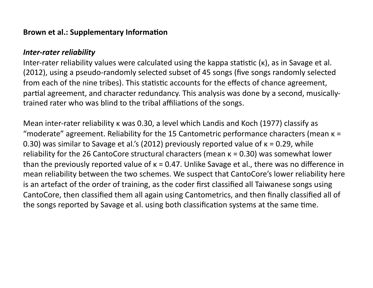#### **Brown et al.: Supplementary Information**

#### *Inter-rater reliability*

Inter-rater reliability values were calculated using the kappa statistic  $(k)$ , as in Savage et al. (2012), using a pseudo-randomly selected subset of 45 songs (five songs randomly selected from each of the nine tribes). This statistic accounts for the effects of chance agreement, partial agreement, and character redundancy. This analysis was done by a second, musicallytrained rater who was blind to the tribal affiliations of the songs.

Mean inter-rater reliability κ was 0.30, a level which Landis and Koch (1977) classify as "moderate" agreement. Reliability for the 15 Cantometric performance characters (mean  $k =$ 0.30) was similar to Savage et al.'s (2012) previously reported value of  $κ = 0.29$ , while reliability for the 26 CantoCore structural characters (mean  $\kappa = 0.30$ ) was somewhat lower than the previously reported value of  $k = 0.47$ . Unlike Savage et al., there was no difference in mean reliability between the two schemes. We suspect that CantoCore's lower reliability here is an artefact of the order of training, as the coder first classified all Taiwanese songs using CantoCore, then classified them all again using Cantometrics, and then finally classified all of the songs reported by Savage et al. using both classification systems at the same time.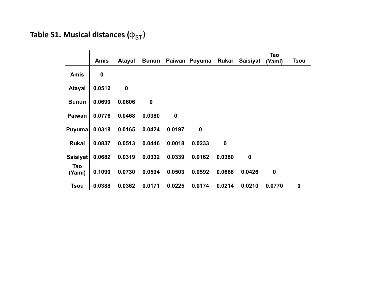# **Table S1. Musical distances (** $\phi$ **<sub>ST</sub>)**

|               | <b>Amis</b>      | <b>Atayal</b>    | <b>Bunun</b> |                  | Paiwan Puyuma    | Rukai            | <b>Saisiyat</b>  | Tao<br>(Yami)    | <b>Tsou</b>      |
|---------------|------------------|------------------|--------------|------------------|------------------|------------------|------------------|------------------|------------------|
| <b>Amis</b>   | $\boldsymbol{0}$ |                  |              |                  |                  |                  |                  |                  |                  |
| <b>Atayal</b> | 0.0512           | $\boldsymbol{0}$ |              |                  |                  |                  |                  |                  |                  |
| <b>Bunun</b>  | 0.0690           | 0.0606           | $\pmb{0}$    |                  |                  |                  |                  |                  |                  |
| <b>Paiwan</b> | 0.0776           | 0.0468           | 0.0380       | $\boldsymbol{0}$ |                  |                  |                  |                  |                  |
| Puyuma        | 0.0318           | 0.0165           | 0.0424       | 0.0197           | $\boldsymbol{0}$ |                  |                  |                  |                  |
| <b>Rukai</b>  | 0.0837           | 0.0513           | 0.0446       | 0.0018           | 0.0233           | $\boldsymbol{0}$ |                  |                  |                  |
| Saisiyat      | 0.0682           | 0.0319           | 0.0332       | 0.0339           | 0.0162           | 0.0380           | $\boldsymbol{0}$ |                  |                  |
| Tao<br>(Yami) | 0.1090           | 0.0730           | 0.0594       | 0.0503           | 0.0592           | 0.0668           | 0.0426           | $\boldsymbol{0}$ |                  |
| <b>Tsou</b>   | 0.0388           | 0.0362           | 0.0171       | 0.0225           | 0.0174           | 0.0214           | 0.0210           | 0.0770           | $\boldsymbol{0}$ |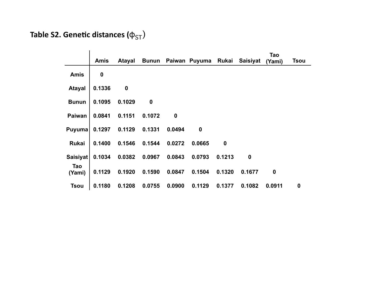# **Table S2. Genetic distances (** $\phi$ **<sub>ST</sub>)**

|                 | <b>Amis</b>      | Atayal           |                  |             | Bunun Paiwan Puyuma Rukai Saisiyat |                  |                  | Tao<br>(Yami)    | <b>Tsou</b>      |
|-----------------|------------------|------------------|------------------|-------------|------------------------------------|------------------|------------------|------------------|------------------|
| <b>Amis</b>     | $\boldsymbol{0}$ |                  |                  |             |                                    |                  |                  |                  |                  |
| <b>Atayal</b>   | 0.1336           | $\boldsymbol{0}$ |                  |             |                                    |                  |                  |                  |                  |
| <b>Bunun</b>    | 0.1095           | 0.1029           | $\boldsymbol{0}$ |             |                                    |                  |                  |                  |                  |
| <b>Paiwan</b>   | 0.0841           | 0.1151           | 0.1072           | $\mathbf 0$ |                                    |                  |                  |                  |                  |
| Puyuma          | 0.1297           | 0.1129           | 0.1331           | 0.0494      | $\mathbf 0$                        |                  |                  |                  |                  |
| Rukai           | 0.1400           | 0.1546           | 0.1544           | 0.0272      | 0.0665                             | $\boldsymbol{0}$ |                  |                  |                  |
| <b>Saisiyat</b> | 0.1034           | 0.0382           | 0.0967           | 0.0843      | 0.0793                             | 0.1213           | $\boldsymbol{0}$ |                  |                  |
| Tao<br>(Yami)   | 0.1129           | 0.1920           | 0.1590           | 0.0847      | 0.1504                             | 0.1320           | 0.1677           | $\boldsymbol{0}$ |                  |
| <b>Tsou</b>     | 0.1180           | 0.1208           | 0.0755           | 0.0900      | 0.1129                             | 0.1377           | 0.1082           | 0.0911           | $\boldsymbol{0}$ |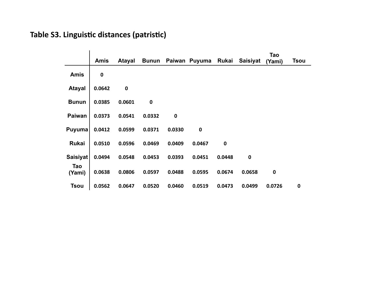### Table S3. Linguistic distances (patristic)

|                 | <b>Amis</b> | <b>Atayal</b> | <b>Bunun</b> |           | Paiwan Puyuma Rukai |             | <b>Saisiyat</b>  | Tao<br>(Yami) | <b>Tsou</b> |
|-----------------|-------------|---------------|--------------|-----------|---------------------|-------------|------------------|---------------|-------------|
| <b>Amis</b>     | $\mathbf 0$ |               |              |           |                     |             |                  |               |             |
| <b>Atayal</b>   | 0.0642      | $\pmb{0}$     |              |           |                     |             |                  |               |             |
| <b>Bunun</b>    | 0.0385      | 0.0601        | $\mathbf 0$  |           |                     |             |                  |               |             |
| <b>Paiwan</b>   | 0.0373      | 0.0541        | 0.0332       | $\pmb{0}$ |                     |             |                  |               |             |
| <b>Puyuma</b>   | 0.0412      | 0.0599        | 0.0371       | 0.0330    | $\mathbf 0$         |             |                  |               |             |
| <b>Rukai</b>    | 0.0510      | 0.0596        | 0.0469       | 0.0409    | 0.0467              | $\mathbf 0$ |                  |               |             |
| <b>Saisiyat</b> | 0.0494      | 0.0548        | 0.0453       | 0.0393    | 0.0451              | 0.0448      | $\boldsymbol{0}$ |               |             |
| Tao<br>(Yami)   | 0.0638      | 0.0806        | 0.0597       | 0.0488    | 0.0595              | 0.0674      | 0.0658           | $\mathbf 0$   |             |
| <b>Tsou</b>     | 0.0562      | 0.0647        | 0.0520       | 0.0460    | 0.0519              | 0.0473      | 0.0499           | 0.0726        | $\mathbf 0$ |